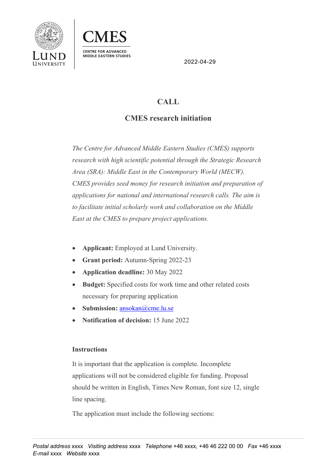



2022-04-29

## **CALL**

## **CMES research initiation**

*The Centre for Advanced Middle Eastern Studies (CMES) supports research with high scientific potential through the Strategic Research Area (SRA): Middle East in the Contemporary World (MECW). CMES provides seed money for research initiation and preparation of applications for national and international research calls. The aim is to facilitate initial scholarly work and collaboration on the Middle East at the CMES to prepare project applications.* 

- **Applicant:** Employed at Lund University.
- **Grant period:** Autumn-Spring 2022-23
- **Application deadline:** 30 May 2022
- **Budget:** Specified costs for work time and other related costs necessary for preparing application
- **Submission:** ansokan@cme.lu.se
- **Notification of decision:** 15 June 2022

## **Instructions**

It is important that the application is complete. Incomplete applications will not be considered eligible for funding. Proposal should be written in English, Times New Roman, font size 12, single line spacing.

The application must include the following sections: